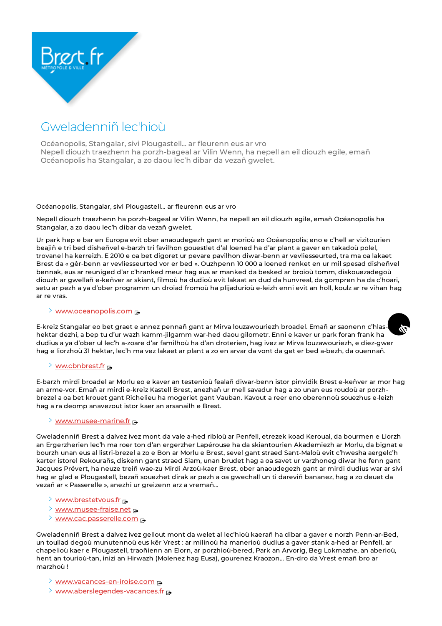

# Gweladenniñ lec'hioù

Océanopolis, Stangalar, sivi Plougastell… ar fleurenn eus ar vro Nepell diouzh traezhenn ha porzh-bageal ar Vilin Wenn, ha nepell an eil diouzh egile, emañ Océanopolis ha Stangalar, a zo daou lec'h dibar da vezañ gwelet.

### Océanopolis, Stangalar, sivi Plougastell… ar fleurenn eus ar vro

Nepell diouzh traezhenn ha porzh-bageal ar Vilin Wenn, ha nepell an eil diouzh egile, emañ Océanopolis ha Stangalar, a zo daou lec'h dibar da vezañ gwelet.

Ur park hep e bar en Europa evit ober anaoudegezh gant ar morioù eo Océanopolis; eno e c'hell ar vizitourien beajiñ e tri bed disheñvel e-barzh tri favilhon gouestlet d'al loened ha d'ar plant a gaver en takadoù polel, trovanel ha kerreizh. E 2010 e oa bet digoret ur pevare pavilhon diwar-benn ar vevliesseurted, tra ma oa lakaet Brest da « gêr-benn ar vevliesseurted vor er bed ». Ouzhpenn 10 000 a loened renket en ur mil spesad disheñvel bennak, eus ar reuniged d'ar c'hranked meur hag eus ar manked da besked ar broioù tomm, diskouezadegoù diouzh ar gwellañ e-keñver ar skiant, filmoù ha dudioù evit lakaat an dud da hunvreal, da gompren ha da c'hoari, setu ar pezh a ya d'ober programm un droiad fromoù ha plijadurioù e-leizh enni evit an holl, koulz ar re vihan hag ar re vras.

#### > [www.oceanopolis.com](https://www.oceanopolis.com/)

E-kreiz Stangalar eo bet graet e annez pennañ gant ar Mirva louzawouriezh broadel. Emañ ar saonenn c'hlashektar dezhi, a bep tu d'ur wazh kamm-jilgamm war-hed daou gilometr. Enni e kaver ur park foran frank ha dudius a ya d'ober ul lec'h a-zoare d'ar familhoù ha d'an droterien, hag ivez ar Mirva louzawouriezh, e diez-gwer hag e liorzhoù 31 hektar, lec'h ma vez lakaet ar plant a zo en arvar da vont da get er bed a-bezh, da ouennañ.

## > [ww.cbnbrest.fr](https://www.cbnbrest.fr/)

E-barzh mirdi broadel ar Morlu eo e kaver an testenioù fealañ diwar-benn istor pinvidik Brest e-keñver ar mor hag an arme-vor. Emañ ar mirdi e-kreiz Kastell Brest, anezhañ ur mell savadur hag a zo unan eus roudoù ar porzhbrezel a oa bet krouet gant Richelieu ha mogeriet gant Vauban. Kavout a reer eno oberennoù souezhus e-leizh hag a ra deomp anavezout istor kaer an arsanailh e Brest.

# $\geq$  [www.musee-marine.fr](https://www.musee-marine.fr/)  $\sim$

Gweladenniñ Brest a dalvez ivez mont da vale a-hed ribloù ar Penfell, etrezek koad Keroual, da bourmen e Liorzh an Ergerzherien lec'h ma roer ton d'an ergerzher Lapérouse ha da skiantourien Akademiezh ar Morlu, da bignat e bourzh unan eus al listri-brezel a zo e Bon ar Morlu e Brest, sevel gant straed Sant-Maloù evit c'hwesha aergelc'h karter istorel Rekourañs, diskenn gant straed Siam, unan brudet hag a oa savet ur varzhoneg diwar he fenn gant Jacques Prévert, ha neuze treiñ wae-zu Mirdi Arzoù-kaer Brest, ober anaoudegezh gant ar mirdi dudius war ar sivi hag ar glad e Plougastell, bezañ souezhet dirak ar pezh a oa gwechall un ti dareviñ bananez, hag a zo deuet da vezañ ar « Passerelle », anezhi ur greizenn arz a vremañ…

- > [www.brestetvous.fr](https://www.brestetvous.fr/)
- $\geq$  [www.musee-fraise.net](https://www.musee-fraise.net/)  $\sim$
- > [www.cac.passerelle.com](https://www.cac.passerelle.com/)

Gweladenniñ Brest a dalvez ivez gellout mont da welet al lec'hioù kaerañ ha dibar a gaver e norzh Penn-ar-Bed, un toullad degoù munutennoù eus kêr Vrest : ar milinoù ha manerioù dudius a gaver stank a-hed ar Penfell, ar chapelioù kaer e Plougastell, traoñienn an Elorn, ar porzhioù-bered, Park an Arvorig, Beg Lokmazhe, an aberioù, hent an tourioù-tan, inizi an Hirwazh (Molenez hag Eusa), gourenez Kraozon… En-dro da Vrest emañ bro ar marzhoù !

- > [www.vacances-en-iroise.com](https://www.vacances-en-iroise.com/)
- $\rightarrow$  [www.aberslegendes-vacances.fr](https://www.aberslegendes-vacances.fr/)  $\rightarrow$